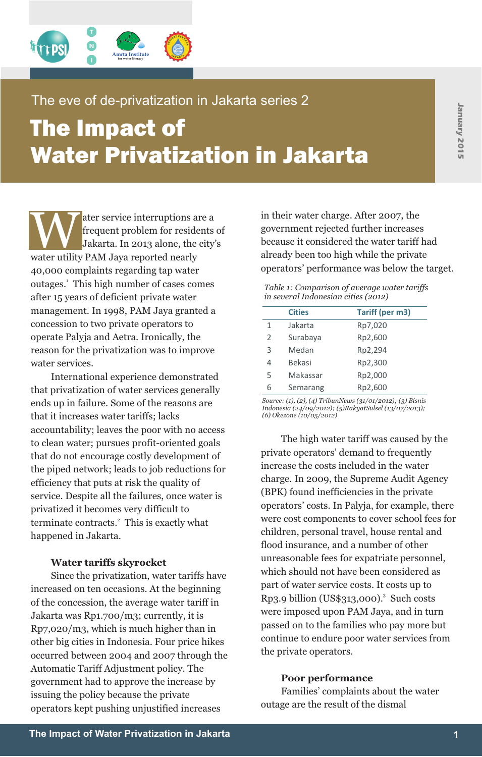

## The eve of de-privatization in Jakarta series 2

# The Impact of Water Privatization in Jakarta

Water service interruptions are a in their water charge. After 2007, the frequent problem for residents of Jakarta. In 2013 alone, the city's because it considered the water tariff has already been too high while the priva frequent problem for residents of 40,000 complaints regarding tap water operators' performance was below the target. outages.<sup>1</sup> This high number of cases comes after 15 years of deficient private water management. In 1998, PAM Jaya granted a concession to two private operators to operate Palyja and Aetra. Ironically, the reason for the privatization was to improve water services.

International experience demonstrated that privatization of water services generally ends up in failure. Some of the reasons are that it increases water tariffs; lacks accountability; leaves the poor with no access to clean water; pursues profit-oriented goals<br>that do not apsourage eastly development of private operators' demand to frequently that do not encourage costly development of private operators' demand to frequently<br>the pined network leads to job reductions for increase the costs included in the water the piped network; leads to job reductions for efficiency that puts at risk the quality of charge. In 2009, the Supreme Audit Agency<br>service Despite all the failures once water is (BPK) found inefficiencies in the private service. Despite all the failures, once water is terminate contracts.<sup>2</sup> This is exactly what children, personal travel, house rental and happened in Jakarta.

Since the privatization, water tariffs have which should not have been considered as<br>part of water service costs. It costs up to increased on ten occasions. At the beginning<br>of the concession, the average water tariff in Rp3.9 billion (US\$313,000).<sup>3</sup> Such costs of the concession, the average water tariff in Jakarta was Rp1.700/m3; currently, it is were imposed upon PAM Jaya, and in turn<br>passed on to the families who pay more but Rp7,020/m3, which is much higher than in<br>
other higher than the families who pay more but<br>
continue to endure poor water services from other big cities in Indonesia. Four price hikes continue to endure por occurred between 2004 and 2007 through the the private operators. occurred between 2004 and 2007 through the Automatic Tariff Adjustment policy. The government had to approve the increase by **Poor performance**<br> **Poor performance**<br> **Poor performance**<br> **Poor performance**<br> **Poor performance** issuing the policy because the private<br>
onerators kent pushing unjustified increases<br>
outage are the result of the dismal operators kept pushing unjustified increases

ater service interruptions are a in their water charge. After 2007, the<br>frequent problem for residents of government rejected further increases Jakarta. In 2013 alone, the city's because it considered the water tariff had

> *Table 1: Comparison of average water tariffs in several Indonesian cities (2012)*

|               | <b>Cities</b> | Tariff (per m3) |
|---------------|---------------|-----------------|
| 1             | Jakarta       | Rp7,020         |
| $\mathcal{L}$ | Surabaya      | Rp2,600         |
| 3             | Medan         | Rp2,294         |
| 4             | <b>Bekasi</b> | Rp2,300         |
| 5             | Makassar      | Rp2,000         |
| հ             | Semarang      | Rp2,600         |

*Source: (1), (2), (4) TribunNews (31/01/2012); (3) Bisnis Indonesia (24/09/2012); (5)RakyatSulsel (13/07/2013); (6) Okezone (10/05/2012)*

privatized it becomes very difficult to operators' costs. In Palyja, for example, there privatized it becomes very difficult to over selections were cost components to cover school fees for flood insurance, and a number of other **Water tariffs skyrocket** unreasonable fees for expatriate personnel,<br>since the privatization water tariffs have which should not have been considered as